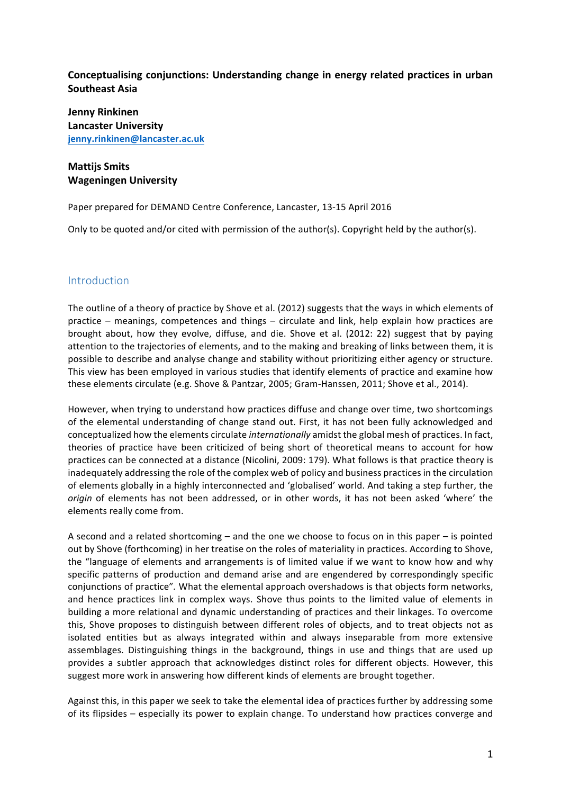## **Conceptualising conjunctions: Understanding change in energy related practices in urban Southeast Asia**

**Jenny Rinkinen Lancaster University jenny.rinkinen@lancaster.ac.uk**

# **Mattiis Smits Wageningen University**

Paper prepared for DEMAND Centre Conference, Lancaster, 13-15 April 2016

Only to be quoted and/or cited with permission of the author(s). Copyright held by the author(s).

## Introduction

The outline of a theory of practice by Shove et al. (2012) suggests that the ways in which elements of practice – meanings, competences and things – circulate and link, help explain how practices are brought about, how they evolve, diffuse, and die. Shove et al. (2012: 22) suggest that by paying attention to the trajectories of elements, and to the making and breaking of links between them, it is possible to describe and analyse change and stability without prioritizing either agency or structure. This view has been employed in various studies that identify elements of practice and examine how these elements circulate (e.g. Shove & Pantzar, 2005; Gram-Hanssen, 2011; Shove et al., 2014).

However, when trying to understand how practices diffuse and change over time, two shortcomings of the elemental understanding of change stand out. First, it has not been fully acknowledged and conceptualized how the elements circulate *internationally* amidst the global mesh of practices. In fact, theories of practice have been criticized of being short of theoretical means to account for how practices can be connected at a distance (Nicolini, 2009: 179). What follows is that practice theory is inadequately addressing the role of the complex web of policy and business practices in the circulation of elements globally in a highly interconnected and 'globalised' world. And taking a step further, the *origin* of elements has not been addressed, or in other words, it has not been asked 'where' the elements really come from.

A second and a related shortcoming – and the one we choose to focus on in this paper – is pointed out by Shove (forthcoming) in her treatise on the roles of materiality in practices. According to Shove, the "language of elements and arrangements is of limited value if we want to know how and why specific patterns of production and demand arise and are engendered by correspondingly specific conjunctions of practice". What the elemental approach overshadows is that objects form networks, and hence practices link in complex ways. Shove thus points to the limited value of elements in building a more relational and dynamic understanding of practices and their linkages. To overcome this. Shove proposes to distinguish between different roles of objects, and to treat objects not as isolated entities but as always integrated within and always inseparable from more extensive assemblages. Distinguishing things in the background, things in use and things that are used up provides a subtler approach that acknowledges distinct roles for different objects. However, this suggest more work in answering how different kinds of elements are brought together.

Against this, in this paper we seek to take the elemental idea of practices further by addressing some of its flipsides – especially its power to explain change. To understand how practices converge and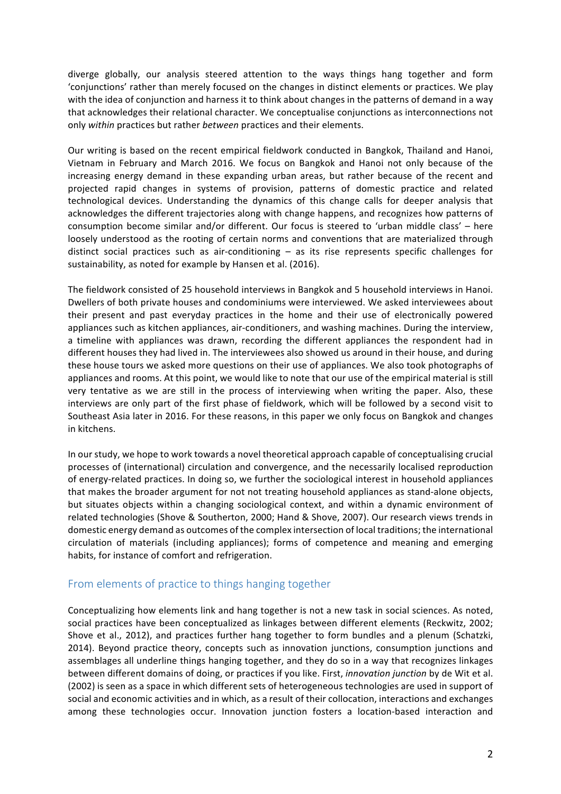diverge globally, our analysis steered attention to the ways things hang together and form 'conjunctions' rather than merely focused on the changes in distinct elements or practices. We play with the idea of conjunction and harness it to think about changes in the patterns of demand in a way that acknowledges their relational character. We conceptualise conjunctions as interconnections not only *within* practices but rather *between* practices and their elements.

Our writing is based on the recent empirical fieldwork conducted in Bangkok, Thailand and Hanoi, Vietnam in February and March 2016. We focus on Bangkok and Hanoi not only because of the increasing energy demand in these expanding urban areas, but rather because of the recent and projected rapid changes in systems of provision, patterns of domestic practice and related technological devices. Understanding the dynamics of this change calls for deeper analysis that acknowledges the different trajectories along with change happens, and recognizes how patterns of consumption become similar and/or different. Our focus is steered to 'urban middle class' – here loosely understood as the rooting of certain norms and conventions that are materialized through distinct social practices such as air-conditioning  $-$  as its rise represents specific challenges for sustainability, as noted for example by Hansen et al. (2016).

The fieldwork consisted of 25 household interviews in Bangkok and 5 household interviews in Hanoi. Dwellers of both private houses and condominiums were interviewed. We asked interviewees about their present and past everyday practices in the home and their use of electronically powered appliances such as kitchen appliances, air-conditioners, and washing machines. During the interview, a timeline with appliances was drawn, recording the different appliances the respondent had in different houses they had lived in. The interviewees also showed us around in their house, and during these house tours we asked more questions on their use of appliances. We also took photographs of appliances and rooms. At this point, we would like to note that our use of the empirical material is still very tentative as we are still in the process of interviewing when writing the paper. Also, these interviews are only part of the first phase of fieldwork, which will be followed by a second visit to Southeast Asia later in 2016. For these reasons, in this paper we only focus on Bangkok and changes in kitchens.

In our study, we hope to work towards a novel theoretical approach capable of conceptualising crucial processes of (international) circulation and convergence, and the necessarily localised reproduction of energy-related practices. In doing so, we further the sociological interest in household appliances that makes the broader argument for not not treating household appliances as stand-alone objects, but situates objects within a changing sociological context, and within a dynamic environment of related technologies (Shove & Southerton, 2000; Hand & Shove, 2007). Our research views trends in domestic energy demand as outcomes of the complex intersection of local traditions; the international circulation of materials (including appliances); forms of competence and meaning and emerging habits, for instance of comfort and refrigeration.

### From elements of practice to things hanging together

Conceptualizing how elements link and hang together is not a new task in social sciences. As noted, social practices have been conceptualized as linkages between different elements (Reckwitz, 2002; Shove et al., 2012), and practices further hang together to form bundles and a plenum (Schatzki, 2014). Beyond practice theory, concepts such as innovation junctions, consumption junctions and assemblages all underline things hanging together, and they do so in a way that recognizes linkages between different domains of doing, or practices if you like. First, *innovation junction* by de Wit et al. (2002) is seen as a space in which different sets of heterogeneous technologies are used in support of social and economic activities and in which, as a result of their collocation, interactions and exchanges among these technologies occur. Innovation junction fosters a location-based interaction and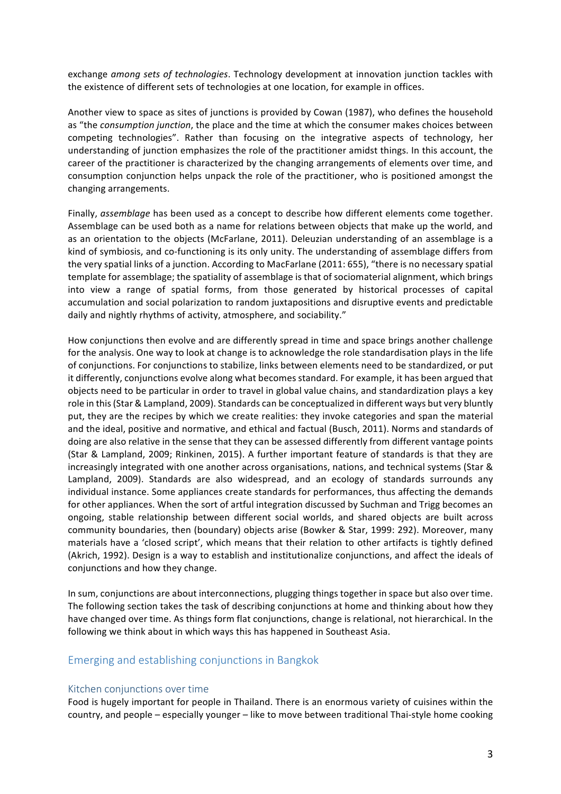exchange *among* sets of technologies. Technology development at innovation junction tackles with the existence of different sets of technologies at one location, for example in offices.

Another view to space as sites of junctions is provided by Cowan (1987), who defines the household as "the *consumption junction*, the place and the time at which the consumer makes choices between competing technologies". Rather than focusing on the integrative aspects of technology, her understanding of junction emphasizes the role of the practitioner amidst things. In this account, the career of the practitioner is characterized by the changing arrangements of elements over time, and consumption conjunction helps unpack the role of the practitioner, who is positioned amongst the changing arrangements.

Finally, *assemblage* has been used as a concept to describe how different elements come together. Assemblage can be used both as a name for relations between objects that make up the world, and as an orientation to the objects (McFarlane, 2011). Deleuzian understanding of an assemblage is a kind of symbiosis, and co-functioning is its only unity. The understanding of assemblage differs from the very spatial links of a junction. According to MacFarlane (2011: 655), "there is no necessary spatial template for assemblage; the spatiality of assemblage is that of sociomaterial alignment, which brings into view a range of spatial forms, from those generated by historical processes of capital accumulation and social polarization to random juxtapositions and disruptive events and predictable daily and nightly rhythms of activity, atmosphere, and sociability."

How conjunctions then evolve and are differently spread in time and space brings another challenge for the analysis. One way to look at change is to acknowledge the role standardisation plays in the life of conjunctions. For conjunctions to stabilize, links between elements need to be standardized, or put it differently, conjunctions evolve along what becomes standard. For example, it has been argued that objects need to be particular in order to travel in global value chains, and standardization plays a key role in this (Star & Lampland, 2009). Standards can be conceptualized in different ways but very bluntly put, they are the recipes by which we create realities: they invoke categories and span the material and the ideal, positive and normative, and ethical and factual (Busch, 2011). Norms and standards of doing are also relative in the sense that they can be assessed differently from different vantage points (Star & Lampland, 2009; Rinkinen, 2015). A further important feature of standards is that they are increasingly integrated with one another across organisations, nations, and technical systems (Star & Lampland, 2009). Standards are also widespread, and an ecology of standards surrounds any individual instance. Some appliances create standards for performances, thus affecting the demands for other appliances. When the sort of artful integration discussed by Suchman and Trigg becomes an ongoing, stable relationship between different social worlds, and shared objects are built across community boundaries, then (boundary) objects arise (Bowker & Star, 1999: 292). Moreover, many materials have a 'closed script', which means that their relation to other artifacts is tightly defined (Akrich, 1992). Design is a way to establish and institutionalize conjunctions, and affect the ideals of conjunctions and how they change.

In sum, conjunctions are about interconnections, plugging things together in space but also over time. The following section takes the task of describing conjunctions at home and thinking about how they have changed over time. As things form flat conjunctions, change is relational, not hierarchical. In the following we think about in which ways this has happened in Southeast Asia.

#### Emerging and establishing conjunctions in Bangkok

#### Kitchen conjunctions over time

Food is hugely important for people in Thailand. There is an enormous variety of cuisines within the country, and people – especially younger – like to move between traditional Thai-style home cooking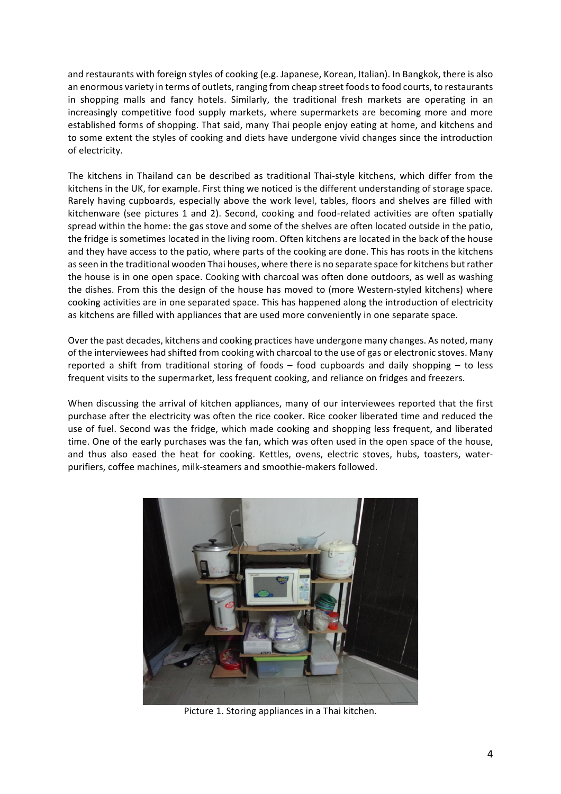and restaurants with foreign styles of cooking (e.g. Japanese, Korean, Italian). In Bangkok, there is also an enormous variety in terms of outlets, ranging from cheap street foods to food courts, to restaurants in shopping malls and fancy hotels. Similarly, the traditional fresh markets are operating in an increasingly competitive food supply markets, where supermarkets are becoming more and more established forms of shopping. That said, many Thai people enjoy eating at home, and kitchens and to some extent the styles of cooking and diets have undergone vivid changes since the introduction of electricity.

The kitchens in Thailand can be described as traditional Thai-style kitchens, which differ from the kitchens in the UK, for example. First thing we noticed is the different understanding of storage space. Rarely having cupboards, especially above the work level, tables, floors and shelves are filled with kitchenware (see pictures 1 and 2). Second, cooking and food-related activities are often spatially spread within the home: the gas stove and some of the shelves are often located outside in the patio, the fridge is sometimes located in the living room. Often kitchens are located in the back of the house and they have access to the patio, where parts of the cooking are done. This has roots in the kitchens as seen in the traditional wooden Thai houses, where there is no separate space for kitchens but rather the house is in one open space. Cooking with charcoal was often done outdoors, as well as washing the dishes. From this the design of the house has moved to (more Western-styled kitchens) where cooking activities are in one separated space. This has happened along the introduction of electricity as kitchens are filled with appliances that are used more conveniently in one separate space.

Over the past decades, kitchens and cooking practices have undergone many changes. As noted, many of the interviewees had shifted from cooking with charcoal to the use of gas or electronic stoves. Many reported a shift from traditional storing of foods  $-$  food cupboards and daily shopping  $-$  to less frequent visits to the supermarket, less frequent cooking, and reliance on fridges and freezers.

When discussing the arrival of kitchen appliances, many of our interviewees reported that the first purchase after the electricity was often the rice cooker. Rice cooker liberated time and reduced the use of fuel. Second was the fridge, which made cooking and shopping less frequent, and liberated time. One of the early purchases was the fan, which was often used in the open space of the house, and thus also eased the heat for cooking. Kettles, ovens, electric stoves, hubs, toasters, waterpurifiers, coffee machines, milk-steamers and smoothie-makers followed.



Picture 1. Storing appliances in a Thai kitchen.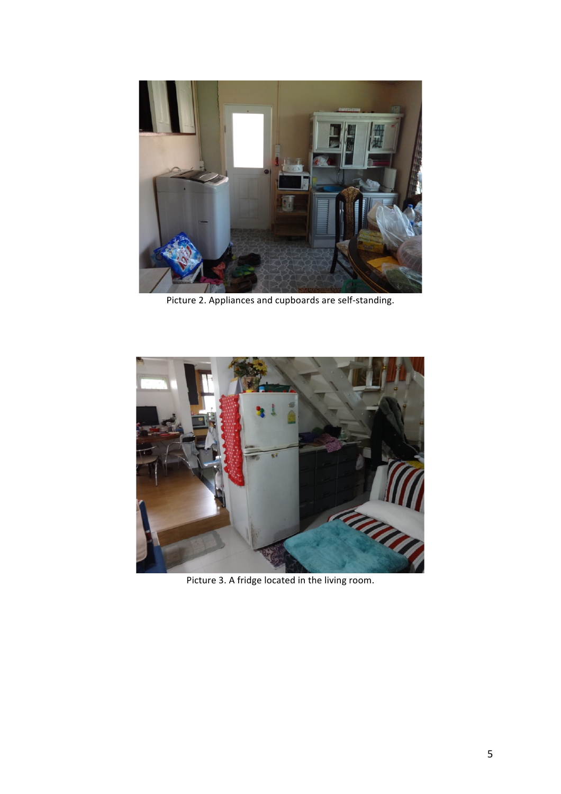

Picture 2. Appliances and cupboards are self-standing.



Picture 3. A fridge located in the living room.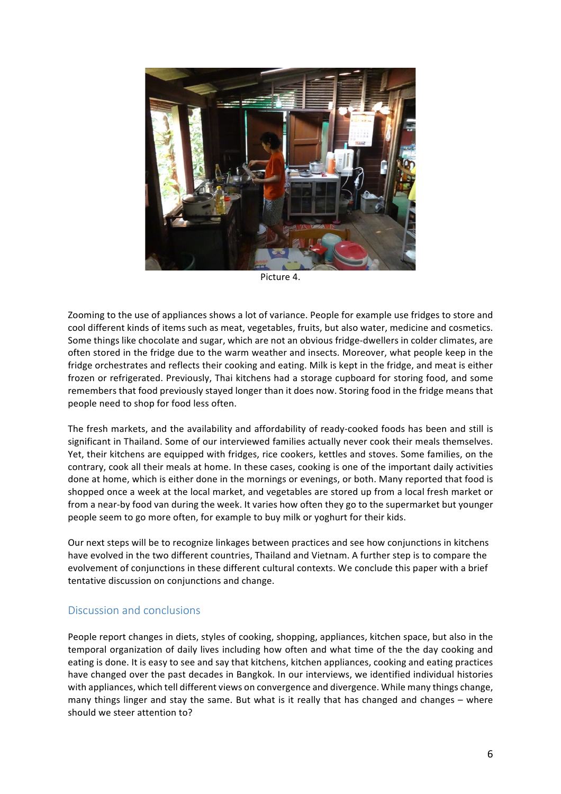

Picture 4.

Zooming to the use of appliances shows a lot of variance. People for example use fridges to store and cool different kinds of items such as meat, vegetables, fruits, but also water, medicine and cosmetics. Some things like chocolate and sugar, which are not an obvious fridge-dwellers in colder climates, are often stored in the fridge due to the warm weather and insects. Moreover, what people keep in the fridge orchestrates and reflects their cooking and eating. Milk is kept in the fridge, and meat is either frozen or refrigerated. Previously, Thai kitchens had a storage cupboard for storing food, and some remembers that food previously stayed longer than it does now. Storing food in the fridge means that people need to shop for food less often.

The fresh markets, and the availability and affordability of ready-cooked foods has been and still is significant in Thailand. Some of our interviewed families actually never cook their meals themselves. Yet, their kitchens are equipped with fridges, rice cookers, kettles and stoves. Some families, on the contrary, cook all their meals at home. In these cases, cooking is one of the important daily activities done at home, which is either done in the mornings or evenings, or both. Many reported that food is shopped once a week at the local market, and vegetables are stored up from a local fresh market or from a near-by food van during the week. It varies how often they go to the supermarket but younger people seem to go more often, for example to buy milk or yoghurt for their kids.

Our next steps will be to recognize linkages between practices and see how conjunctions in kitchens have evolved in the two different countries. Thailand and Vietnam. A further step is to compare the evolvement of conjunctions in these different cultural contexts. We conclude this paper with a brief tentative discussion on conjunctions and change.

### Discussion and conclusions

People report changes in diets, styles of cooking, shopping, appliances, kitchen space, but also in the temporal organization of daily lives including how often and what time of the the day cooking and eating is done. It is easy to see and say that kitchens, kitchen appliances, cooking and eating practices have changed over the past decades in Bangkok. In our interviews, we identified individual histories with appliances, which tell different views on convergence and divergence. While many things change, many things linger and stay the same. But what is it really that has changed and changes – where should we steer attention to?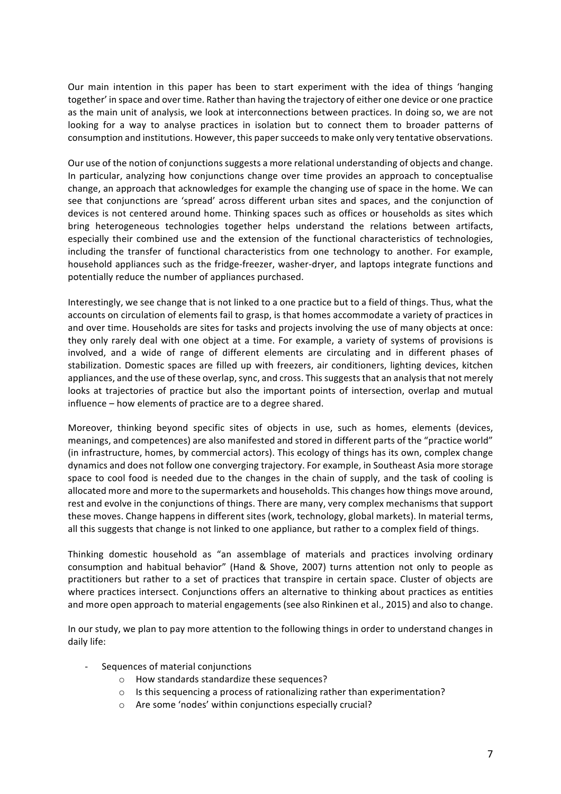Our main intention in this paper has been to start experiment with the idea of things 'hanging together' in space and over time. Rather than having the trajectory of either one device or one practice as the main unit of analysis, we look at interconnections between practices. In doing so, we are not looking for a way to analyse practices in isolation but to connect them to broader patterns of consumption and institutions. However, this paper succeeds to make only very tentative observations.

Our use of the notion of conjunctions suggests a more relational understanding of objects and change. In particular, analyzing how conjunctions change over time provides an approach to conceptualise change, an approach that acknowledges for example the changing use of space in the home. We can see that conjunctions are 'spread' across different urban sites and spaces, and the conjunction of devices is not centered around home. Thinking spaces such as offices or households as sites which bring heterogeneous technologies together helps understand the relations between artifacts, especially their combined use and the extension of the functional characteristics of technologies, including the transfer of functional characteristics from one technology to another. For example, household appliances such as the fridge-freezer, washer-dryer, and laptops integrate functions and potentially reduce the number of appliances purchased.

Interestingly, we see change that is not linked to a one practice but to a field of things. Thus, what the accounts on circulation of elements fail to grasp, is that homes accommodate a variety of practices in and over time. Households are sites for tasks and projects involving the use of many objects at once: they only rarely deal with one object at a time. For example, a variety of systems of provisions is involved, and a wide of range of different elements are circulating and in different phases of stabilization. Domestic spaces are filled up with freezers, air conditioners, lighting devices, kitchen appliances, and the use of these overlap, sync, and cross. This suggests that an analysis that not merely looks at trajectories of practice but also the important points of intersection, overlap and mutual  $influence - how elements of practice are to a degree shared.$ 

Moreover, thinking beyond specific sites of objects in use, such as homes, elements (devices, meanings, and competences) are also manifested and stored in different parts of the "practice world" (in infrastructure, homes, by commercial actors). This ecology of things has its own, complex change dynamics and does not follow one converging trajectory. For example, in Southeast Asia more storage space to cool food is needed due to the changes in the chain of supply, and the task of cooling is allocated more and more to the supermarkets and households. This changes how things move around, rest and evolve in the conjunctions of things. There are many, very complex mechanisms that support these moves. Change happens in different sites (work, technology, global markets). In material terms, all this suggests that change is not linked to one appliance, but rather to a complex field of things.

Thinking domestic household as "an assemblage of materials and practices involving ordinary consumption and habitual behavior" (Hand & Shove, 2007) turns attention not only to people as practitioners but rather to a set of practices that transpire in certain space. Cluster of objects are where practices intersect. Conjunctions offers an alternative to thinking about practices as entities and more open approach to material engagements (see also Rinkinen et al., 2015) and also to change.

In our study, we plan to pay more attention to the following things in order to understand changes in daily life:

- Sequences of material conjunctions
	- $\circ$  How standards standardize these sequences?
	- $\circ$  Is this sequencing a process of rationalizing rather than experimentation?
	- $\circ$  Are some 'nodes' within conjunctions especially crucial?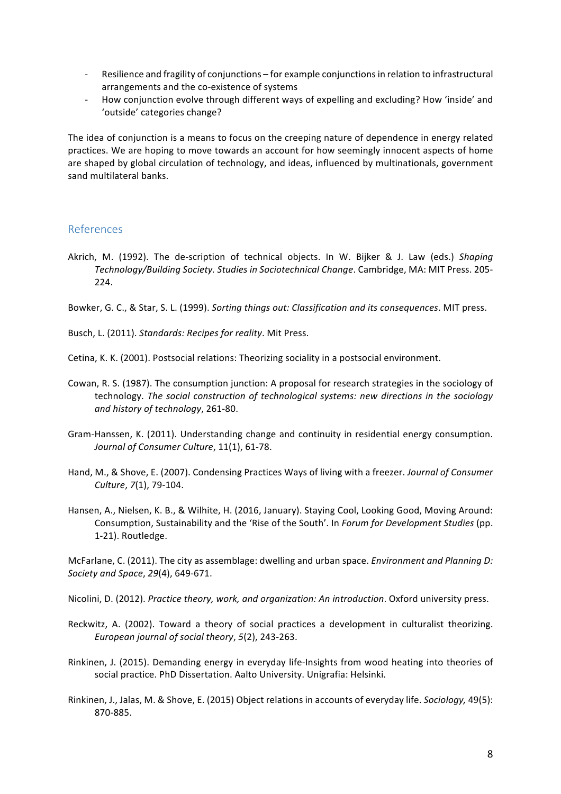- Resilience and fragility of conjunctions for example conjunctions in relation to infrastructural arrangements and the co-existence of systems
- How conjunction evolve through different ways of expelling and excluding? How 'inside' and 'outside' categories change?

The idea of conjunction is a means to focus on the creeping nature of dependence in energy related practices. We are hoping to move towards an account for how seemingly innocent aspects of home are shaped by global circulation of technology, and ideas, influenced by multinationals, government sand multilateral banks.

## References

Akrich, M. (1992). The de-scription of technical objects. In W. Bijker & J. Law (eds.) Shaping Technology/Building Society. Studies in Sociotechnical Change. Cambridge, MA: MIT Press. 205-224. 

Bowker, G. C., & Star, S. L. (1999). *Sorting things out: Classification and its consequences*. MIT press.

Busch, L. (2011). *Standards: Recipes for reality*. Mit Press.

- Cetina, K. K. (2001). Postsocial relations: Theorizing sociality in a postsocial environment.
- Cowan, R. S. (1987). The consumption junction: A proposal for research strategies in the sociology of technology. *The social construction of technological systems: new directions in the sociology and history of technology*, 261-80.
- Gram-Hanssen, K. (2011). Understanding change and continuity in residential energy consumption. *Journal of Consumer Culture,* 11(1), 61-78.
- Hand, M., & Shove, E. (2007). Condensing Practices Ways of living with a freezer. *Journal of Consumer Culture*, *7*(1), 79-104.
- Hansen, A., Nielsen, K. B., & Wilhite, H. (2016, January). Staying Cool, Looking Good, Moving Around: Consumption, Sustainability and the 'Rise of the South'. In *Forum for Development Studies* (pp. 1-21). Routledge.

McFarlane, C. (2011). The city as assemblage: dwelling and urban space. *Environment and Planning D: Society and Space*, *29*(4), 649-671.

Nicolini, D. (2012). *Practice theory, work, and organization: An introduction*. Oxford university press.

- Reckwitz, A. (2002). Toward a theory of social practices a development in culturalist theorizing. *European journal of social theory*, *5*(2), 243-263.
- Rinkinen, J. (2015). Demanding energy in everyday life-Insights from wood heating into theories of social practice. PhD Dissertation. Aalto University. Unigrafia: Helsinki.
- Rinkinen, J., Jalas, M. & Shove, E. (2015) Object relations in accounts of everyday life. Sociology, 49(5): 870-885.